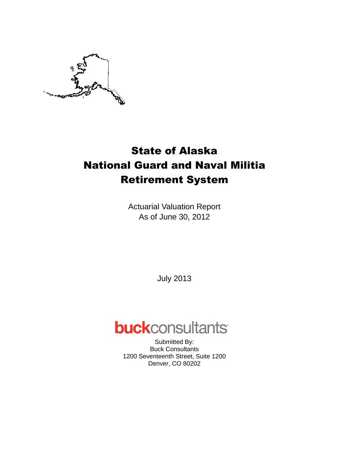

Actuarial Valuation Report As of June 30, 2012

July 2013

# **buck**consultants

Submitted By: Buck Consultants 1200 Seventeenth Street, Suite 1200 Denver, CO 80202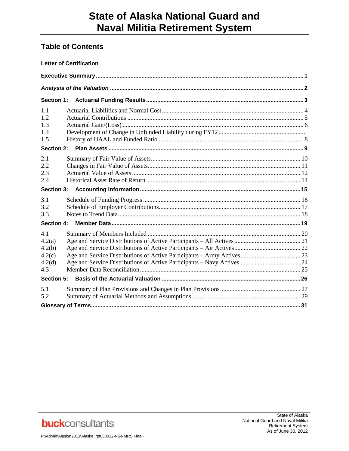# **Table of Contents**

|                                                    | <b>Letter of Certification</b> |  |
|----------------------------------------------------|--------------------------------|--|
|                                                    |                                |  |
|                                                    |                                |  |
| Section 1:                                         |                                |  |
| 1.1<br>1.2<br>1.3<br>1.4<br>1.5                    |                                |  |
| Section 2:                                         |                                |  |
| 2.1<br>2.2<br>2.3<br>2.4                           |                                |  |
| Section 3:                                         |                                |  |
| 3.1<br>3.2<br>3.3                                  |                                |  |
| <b>Section 4:</b>                                  |                                |  |
| 4.1<br>4.2(a)<br>4.2(b)<br>4.2(c)<br>4.2(d)<br>4.3 |                                |  |
| Section 5:                                         |                                |  |
| 5.1<br>5.2                                         |                                |  |
|                                                    |                                |  |

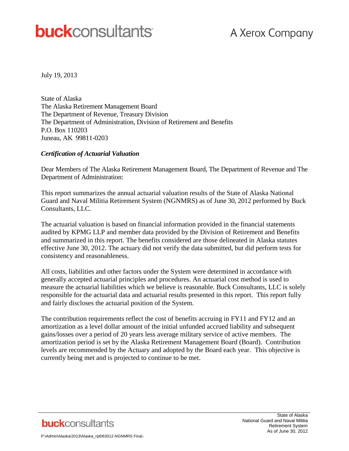# **buck**consultants

July 19, 2013

State of Alaska The Alaska Retirement Management Board The Department of Revenue, Treasury Division The Department of Administration, Division of Retirement and Benefits P.O. Box 110203 Juneau, AK 99811-0203

#### *Certification of Actuarial Valuation*

Dear Members of The Alaska Retirement Management Board, The Department of Revenue and The Department of Administration:

This report summarizes the annual actuarial valuation results of the State of Alaska National Guard and Naval Militia Retirement System (NGNMRS) as of June 30, 2012 performed by Buck Consultants, LLC.

The actuarial valuation is based on financial information provided in the financial statements audited by KPMG LLP and member data provided by the Division of Retirement and Benefits and summarized in this report. The benefits considered are those delineated in Alaska statutes effective June 30, 2012. The actuary did not verify the data submitted, but did perform tests for consistency and reasonableness.

All costs, liabilities and other factors under the System were determined in accordance with generally accepted actuarial principles and procedures. An actuarial cost method is used to measure the actuarial liabilities which we believe is reasonable. Buck Consultants, LLC is solely responsible for the actuarial data and actuarial results presented in this report. This report fully and fairly discloses the actuarial position of the System.

The contribution requirements reflect the cost of benefits accruing in FY11 and FY12 and an amortization as a level dollar amount of the initial unfunded accrued liability and subsequent gains/losses over a period of 20 years less average military service of active members. The amortization period is set by the Alaska Retirement Management Board (Board). Contribution levels are recommended by the Actuary and adopted by the Board each year. This objective is currently being met and is projected to continue to be met.

**buck**consultants

State of Alaska National Guard and Naval Militia Retirement System As of June 30, 2012

```
P:\Admin\Alaska\2013\Alaska_rpt063012-NGNMRS Final.
```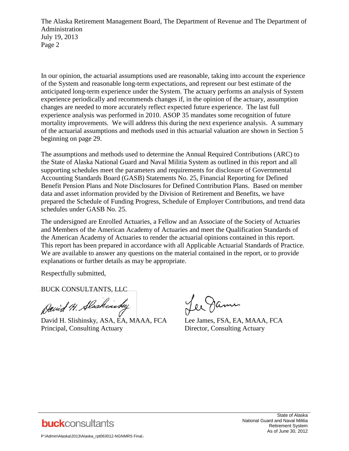The Alaska Retirement Management Board, The Department of Revenue and The Department of Administration July 19, 2013 Page 2

In our opinion, the actuarial assumptions used are reasonable, taking into account the experience of the System and reasonable long-term expectations, and represent our best estimate of the anticipated long-term experience under the System. The actuary performs an analysis of System experience periodically and recommends changes if, in the opinion of the actuary, assumption changes are needed to more accurately reflect expected future experience. The last full experience analysis was performed in 2010. ASOP 35 mandates some recognition of future mortality improvements. We will address this during the next experience analysis. A summary of the actuarial assumptions and methods used in this actuarial valuation are shown in Section 5 beginning on page 29.

The assumptions and methods used to determine the Annual Required Contributions (ARC) to the State of Alaska National Guard and Naval Militia System as outlined in this report and all supporting schedules meet the parameters and requirements for disclosure of Governmental Accounting Standards Board (GASB) Statements No. 25, Financial Reporting for Defined Benefit Pension Plans and Note Disclosures for Defined Contribution Plans. Based on member data and asset information provided by the Division of Retirement and Benefits, we have prepared the Schedule of Funding Progress, Schedule of Employer Contributions, and trend data schedules under GASB No. 25.

The undersigned are Enrolled Actuaries, a Fellow and an Associate of the Society of Actuaries and Members of the American Academy of Actuaries and meet the Qualification Standards of the American Academy of Actuaries to render the actuarial opinions contained in this report. This report has been prepared in accordance with all Applicable Actuarial Standards of Practice. We are available to answer any questions on the material contained in the report, or to provide explanations or further details as may be appropriate.

Respectfully submitted,

BUCK CONSULTANTS, LLC

David H. Alaskinsky

David H. Slishinsky, ASA, EA, MAAA, FCA Lee James, FSA, EA, MAAA, FCA Principal, Consulting Actuary Director, Consulting Actuary

Lee Jame



State of Alaska National Guard and Naval Militia Retirement System As of June 30, 2012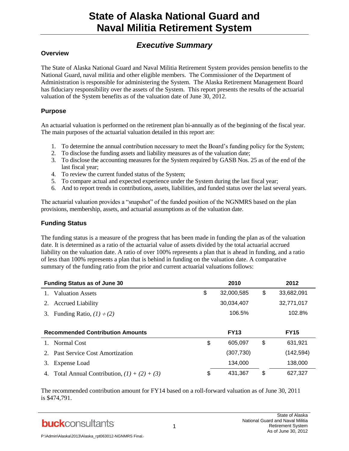# *Executive Summary*

#### **Overview**

The State of Alaska National Guard and Naval Militia Retirement System provides pension benefits to the National Guard, naval militia and other eligible members. The Commissioner of the Department of Administration is responsible for administering the System. The Alaska Retirement Management Board has fiduciary responsibility over the assets of the System. This report presents the results of the actuarial valuation of the System benefits as of the valuation date of June 30, 2012.

#### **Purpose**

An actuarial valuation is performed on the retirement plan bi-annually as of the beginning of the fiscal year. The main purposes of the actuarial valuation detailed in this report are:

- 1. To determine the annual contribution necessary to meet the Board's funding policy for the System;
- 2. To disclose the funding assets and liability measures as of the valuation date;
- 3. To disclose the accounting measures for the System required by GASB Nos. 25 as of the end of the last fiscal year;
- 4. To review the current funded status of the System;
- 5. To compare actual and expected experience under the System during the last fiscal year;
- 6. And to report trends in contributions, assets, liabilities, and funded status over the last several years.

The actuarial valuation provides a "snapshot" of the funded position of the NGNMRS based on the plan provisions, membership, assets, and actuarial assumptions as of the valuation date.

#### **Funding Status**

The funding status is a measure of the progress that has been made in funding the plan as of the valuation date. It is determined as a ratio of the actuarial value of assets divided by the total actuarial accrued liability on the valuation date. A ratio of over 100% represents a plan that is ahead in funding, and a ratio of less than 100% represents a plan that is behind in funding on the valuation date. A comparative summary of the funding ratio from the prior and current actuarial valuations follows:

| <b>Funding Status as of June 30</b>     | 2010             | 2012             |
|-----------------------------------------|------------------|------------------|
| <b>Valuation Assets</b>                 | \$<br>32,000,585 | \$<br>33,682,091 |
| <b>Accrued Liability</b><br>2.          | 30,034,407       | 32,771,017       |
| Funding Ratio, $(1) \div (2)$<br>3.     | 106.5%           | 102.8%           |
|                                         |                  |                  |
|                                         |                  |                  |
| <b>Recommended Contribution Amounts</b> | <b>FY13</b>      | <b>FY15</b>      |
| 1. Normal Cost                          | \$<br>605,097    | \$<br>631,921    |
| 2. Past Service Cost Amortization       | (307,730)        | (142,594)        |
| <b>Expense Load</b><br>3.               | 134,000          | 138,000          |

The recommended contribution amount for FY14 based on a roll-forward valuation as of June 30, 2011 is \$474,791.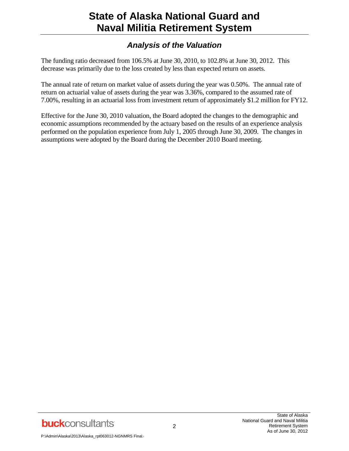# *Analysis of the Valuation*

The funding ratio decreased from 106.5% at June 30, 2010, to 102.8% at June 30, 2012. This decrease was primarily due to the loss created by less than expected return on assets.

The annual rate of return on market value of assets during the year was 0.50%. The annual rate of return on actuarial value of assets during the year was 3.36%, compared to the assumed rate of 7.00%, resulting in an actuarial loss from investment return of approximately \$1.2 million for FY12.

Effective for the June 30, 2010 valuation, the Board adopted the changes to the demographic and economic assumptions recommended by the actuary based on the results of an experience analysis performed on the population experience from July 1, 2005 through June 30, 2009. The changes in assumptions were adopted by the Board during the December 2010 Board meeting.

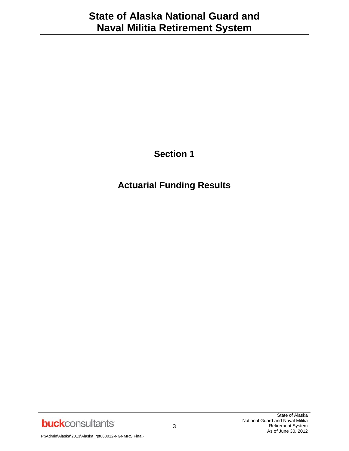**Section 1**

**Actuarial Funding Results**

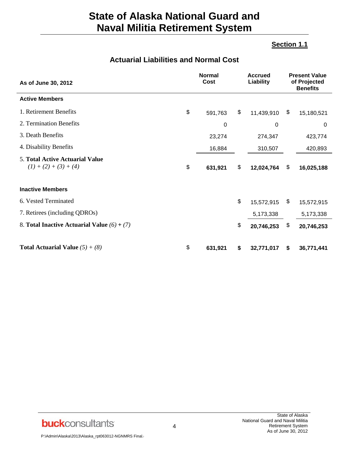### **Section 1.1**

# **Actuarial Liabilities and Normal Cost**

| As of June 30, 2012                                               | <b>Normal</b><br>Cost | <b>Accrued</b><br>Liability |            | <b>Present Value</b><br>of Projected<br><b>Benefits</b> |             |
|-------------------------------------------------------------------|-----------------------|-----------------------------|------------|---------------------------------------------------------|-------------|
| <b>Active Members</b>                                             |                       |                             |            |                                                         |             |
| 1. Retirement Benefits                                            | \$<br>591,763         | \$                          | 11,439,910 | \$                                                      | 15,180,521  |
| 2. Termination Benefits                                           | $\mathbf 0$           |                             | 0          |                                                         | $\mathbf 0$ |
| 3. Death Benefits                                                 | 23,274                |                             | 274,347    |                                                         | 423,774     |
| 4. Disability Benefits                                            | 16,884                |                             | 310,507    |                                                         | 420,893     |
| <b>5. Total Active Actuarial Value</b><br>$(1) + (2) + (3) + (4)$ | \$<br>631,921         | \$                          | 12,024,764 | \$                                                      | 16,025,188  |
| <b>Inactive Members</b>                                           |                       |                             |            |                                                         |             |
| 6. Vested Terminated                                              |                       | \$                          | 15,572,915 | \$                                                      | 15,572,915  |
| 7. Retirees (including QDROs)                                     |                       |                             | 5,173,338  |                                                         | 5,173,338   |
| 8. Total Inactive Actuarial Value $(6) + (7)$                     |                       | \$                          | 20,746,253 | \$                                                      | 20,746,253  |
| <b>Total Actuarial Value</b> $(5) + (8)$                          | \$<br>631,921         | \$                          | 32,771,017 | \$                                                      | 36,771,441  |

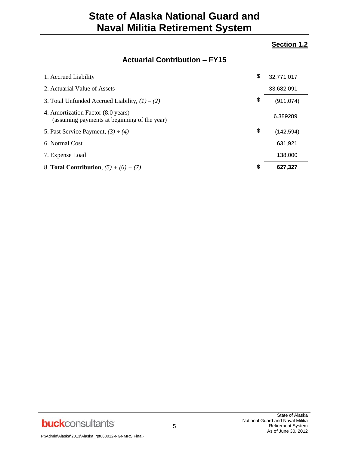#### **Section 1.2**

# **Actuarial Contribution – FY15**

| 1. Accrued Liability                                                               | \$<br>32,771,017 |
|------------------------------------------------------------------------------------|------------------|
| 2. Actuarial Value of Assets                                                       | 33,682,091       |
| 3. Total Unfunded Accrued Liability, $(1) - (2)$                                   | \$<br>(911, 074) |
| 4. Amortization Factor (8.0 years)<br>(assuming payments at beginning of the year) | 6.389289         |
| 5. Past Service Payment, $(3) \div (4)$                                            | \$<br>(142, 594) |
| 6. Normal Cost                                                                     | 631,921          |
| 7. Expense Load                                                                    | 138,000          |
| 8. <b>Total Contribution</b> , $(5) + (6) + (7)$                                   | \$<br>627,327    |

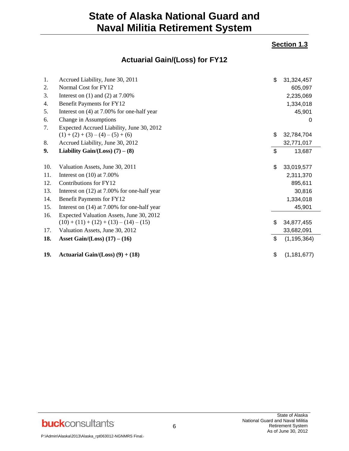### **Section 1.3**

# **Actuarial Gain/(Loss) for FY12**

| 1.  | Accrued Liability, June 30, 2011             | \$<br>31,324,457    |
|-----|----------------------------------------------|---------------------|
| 2.  | Normal Cost for FY12                         | 605,097             |
| 3.  | Interest on $(1)$ and $(2)$ at $7.00\%$      | 2,235,069           |
| 4.  | Benefit Payments for FY12                    | 1,334,018           |
| 5.  | Interest on $(4)$ at 7.00% for one-half year | 45,901              |
| 6.  | Change in Assumptions                        | 0                   |
| 7.  | Expected Accrued Liability, June 30, 2012    |                     |
|     | $(1) + (2) + (3) - (4) - (5) + (6)$          | \$<br>32,784,704    |
| 8.  | Accrued Liability, June 30, 2012             | 32,771,017          |
| 9.  | Liability Gain/(Loss) $(7) - (8)$            | \$<br>13,687        |
|     |                                              |                     |
| 10. | Valuation Assets, June 30, 2011              | \$<br>33,019,577    |
| 11. | Interest on $(10)$ at 7.00%                  | 2,311,370           |
| 12. | Contributions for FY12                       | 895,611             |
| 13. | Interest on (12) at 7.00% for one-half year  | 30,816              |
| 14. | Benefit Payments for FY12                    | 1,334,018           |
| 15. | Interest on (14) at 7.00% for one-half year  | 45,901              |
| 16. | Expected Valuation Assets, June 30, 2012     |                     |
|     | $(10) + (11) + (12) + (13) - (14) - (15)$    | \$<br>34,877,455    |
| 17. | Valuation Assets, June 30, 2012              | 33,682,091          |
| 18. | Asset Gain/(Loss) $(17) - (16)$              | \$<br>(1, 195, 364) |
| 19. | Actuarial Gain/(Loss) $(9) + (18)$           | \$<br>(1, 181, 677) |

**buck**consultants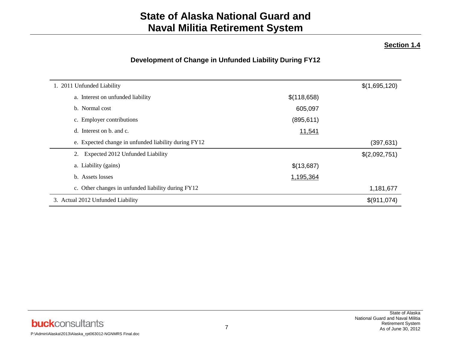#### **Section 1.4**

# **Development of Change in Unfunded Liability During FY12**

| 1. 2011 Unfunded Liability                           |             |               |  |  |
|------------------------------------------------------|-------------|---------------|--|--|
|                                                      |             | \$(1,695,120) |  |  |
| a. Interest on unfunded liability                    | \$(118,658) |               |  |  |
| b. Normal cost                                       | 605,097     |               |  |  |
| c. Employer contributions                            | (895, 611)  |               |  |  |
| d. Interest on b. and c.                             | 11,541      |               |  |  |
| e. Expected change in unfunded liability during FY12 |             | (397, 631)    |  |  |
| 2. Expected 2012 Unfunded Liability                  |             | \$(2,092,751) |  |  |
| a. Liability (gains)                                 | \$(13,687)  |               |  |  |
| b. Assets losses                                     | 1,195,364   |               |  |  |
| c. Other changes in unfunded liability during FY12   |             | 1,181,677     |  |  |
| 3. Actual 2012 Unfunded Liability                    |             | \$(911,074)   |  |  |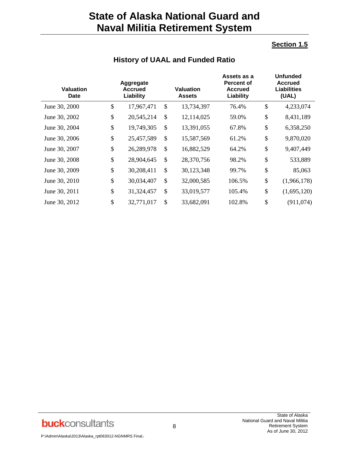### **Section 1.5**

| <b>Valuation</b><br><b>Date</b> |    | Aggregate<br><b>Accrued</b><br>Liability |    | Valuation<br>Assets | Assets as a<br><b>Percent of</b><br><b>Accrued</b><br>Liability | <b>Unfunded</b><br><b>Accrued</b><br><b>Liabilities</b><br>(UAL) |             |  |
|---------------------------------|----|------------------------------------------|----|---------------------|-----------------------------------------------------------------|------------------------------------------------------------------|-------------|--|
| June 30, 2000                   | \$ | 17,967,471                               | \$ | 13,734,397          | 76.4%                                                           | \$                                                               | 4,233,074   |  |
| June 30, 2002                   | \$ | 20,545,214                               | \$ | 12,114,025          | 59.0%                                                           | \$                                                               | 8,431,189   |  |
| June 30, 2004                   | \$ | 19,749,305                               | \$ | 13,391,055          | 67.8%                                                           | \$                                                               | 6,358,250   |  |
| June 30, 2006                   | \$ | 25,457,589                               | \$ | 15,587,569          | 61.2%                                                           | \$                                                               | 9,870,020   |  |
| June 30, 2007                   | \$ | 26,289,978                               | \$ | 16,882,529          | 64.2%                                                           | \$                                                               | 9,407,449   |  |
| June 30, 2008                   | \$ | 28,904,645                               | \$ | 28,370,756          | 98.2%                                                           | \$                                                               | 533,889     |  |
| June 30, 2009                   | \$ | 30,208,411                               | \$ | 30,123,348          | 99.7%                                                           | \$                                                               | 85,063      |  |
| June 30, 2010                   | \$ | 30,034,407                               | \$ | 32,000,585          | 106.5%                                                          | \$                                                               | (1,966,178) |  |
| June 30, 2011                   | \$ | 31,324,457                               | \$ | 33,019,577          | 105.4%                                                          | \$                                                               | (1,695,120) |  |
| June 30, 2012                   | \$ | 32,771,017                               | \$ | 33,682,091          | 102.8%                                                          | \$                                                               | (911, 074)  |  |

### **History of UAAL and Funded Ratio**

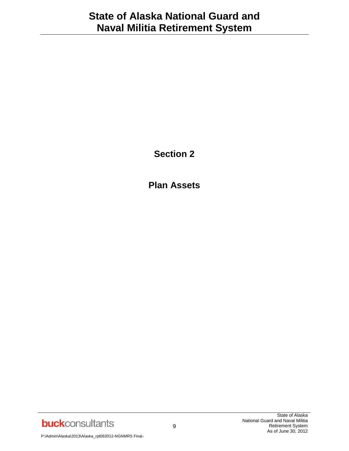**Section 2**

**Plan Assets**

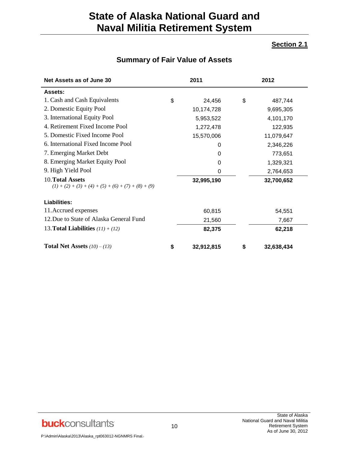### **Section 2.1**

# **Summary of Fair Value of Assets**

| Net Assets as of June 30                                                  | 2011             |    | 2012       |
|---------------------------------------------------------------------------|------------------|----|------------|
| Assets:                                                                   |                  |    |            |
| 1. Cash and Cash Equivalents                                              | \$<br>24,456     | \$ | 487,744    |
| 2. Domestic Equity Pool                                                   | 10,174,728       |    | 9,695,305  |
| 3. International Equity Pool                                              | 5,953,522        |    | 4,101,170  |
| 4. Retirement Fixed Income Pool                                           | 1,272,478        |    | 122,935    |
| 5. Domestic Fixed Income Pool                                             | 15,570,006       |    | 11,079,647 |
| 6. International Fixed Income Pool                                        | 0                |    | 2,346,226  |
| 7. Emerging Market Debt                                                   | 0                |    | 773,651    |
| 8. Emerging Market Equity Pool                                            | 0                |    | 1,329,321  |
| 9. High Yield Pool                                                        | 0                |    | 2,764,653  |
| 10. Total Assets<br>$(1) + (2) + (3) + (4) + (5) + (6) + (7) + (8) + (9)$ | 32,995,190       |    | 32,700,652 |
| Liabilities:                                                              |                  |    |            |
| 11. Accrued expenses                                                      | 60,815           |    | 54,551     |
| 12. Due to State of Alaska General Fund                                   | 21,560           |    | 7,667      |
| 13. <b>Total Liabilities</b> $(11) + (12)$                                | 82,375           |    | 62,218     |
| <b>Total Net Assets</b> $(10) - (13)$                                     | \$<br>32,912,815 | S  | 32,638,434 |



10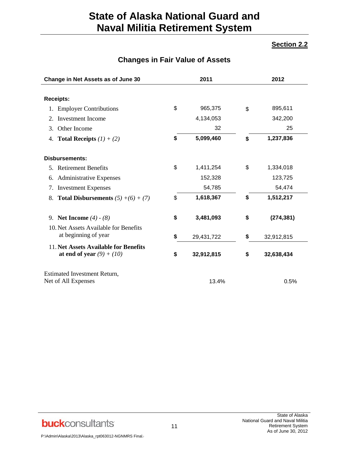### **Section 2.2**

### **Changes in Fair Value of Assets**

| Change in Net Assets as of June 30                                   | 2011             | 2012             |
|----------------------------------------------------------------------|------------------|------------------|
|                                                                      |                  |                  |
| <b>Receipts:</b>                                                     |                  |                  |
| 1. Employer Contributions                                            | \$<br>965,375    | \$<br>895,611    |
| <b>Investment</b> Income<br>2.                                       | 4,134,053        | 342,200          |
| Other Income<br>3.                                                   | 32               | 25               |
| <b>Total Receipts</b> $(1) + (2)$<br>4.                              | \$<br>5,099,460  | \$<br>1,237,836  |
| <b>Disbursements:</b>                                                |                  |                  |
| 5. Retirement Benefits                                               | \$<br>1,411,254  | \$<br>1,334,018  |
| 6. Administrative Expenses                                           | 152,328          | 123,725          |
| 7. Investment Expenses                                               | 54,785           | 54,474           |
| <b>Total Disbursements</b> $(5) + (6) + (7)$<br>8.                   | \$<br>1,618,367  | \$<br>1,512,217  |
| 9. Net Income $(4) - (8)$                                            | \$<br>3,481,093  | \$<br>(274, 381) |
| 10. Net Assets Available for Benefits<br>at beginning of year        | \$<br>29,431,722 | \$<br>32,912,815 |
| 11. Net Assets Available for Benefits<br>at end of year $(9) + (10)$ | \$<br>32,912,815 | \$<br>32,638,434 |
| <b>Estimated Investment Return,</b><br>Net of All Expenses           | 13.4%            | 0.5%             |

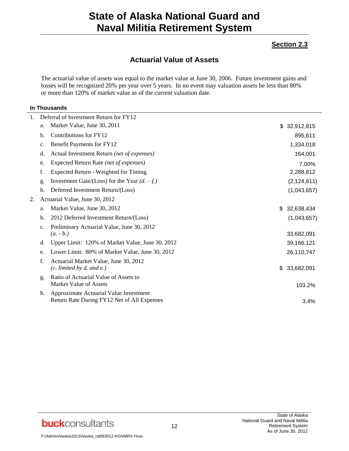#### **Section 2.3**

### **Actuarial Value of Assets**

The actuarial value of assets was equal to the market value at June 30, 2006. Future investment gains and losses will be recognized 20% per year over 5 years. In no event may valuation assets be less than 80% or more than 120% of market value as of the current valuation date.

#### **In Thousands**

| 1. |                | Deferral of Investment Return for FY12                          |                  |
|----|----------------|-----------------------------------------------------------------|------------------|
|    | a.             | Market Value, June 30, 2011                                     | \$32,912,815     |
|    | b.             | Contributions for FY12                                          | 895,611          |
|    | c.             | Benefit Payments for FY12                                       | 1,334,018        |
|    | d.             | Actual Investment Return (net of expenses)                      | 164,001          |
|    | e.             | Expected Return Rate (net of expenses)                          | 7.00%            |
|    | f.             | Expected Return - Weighted for Timing                           | 2,288,812        |
|    | g.             | Investment Gain/(Loss) for the Year $(d. -f.)$                  | (2, 124, 811)    |
|    | h.             | Deferred Investment Return/(Loss)                               | (1,043,657)      |
| 2. |                | Actuarial Value, June 30, 2012                                  |                  |
|    | a.             | Market Value, June 30, 2012                                     | \$<br>32,638,434 |
|    | b.             | 2012 Deferred Investment Return/(Loss)                          | (1,043,657)      |
|    | $\mathbf{c}$ . | Preliminary Actuarial Value, June 30, 2012                      |                  |
|    |                | $(a. - b.)$                                                     | 33,682,091       |
|    | d.             | Upper Limit: 120% of Market Value, June 30, 2012                | 39,166,121       |
|    | e.             | Lower Limit: 80% of Market Value, June 30, 2012                 | 26,110,747       |
|    | f.             | Actuarial Market Value, June 30, 2012                           |                  |
|    |                | $(c.$ limited by d. and e.)                                     | \$<br>33,682,091 |
|    | g.             | Ratio of Actuarial Value of Assets to<br>Market Value of Assets | 103.2%           |
|    | h.             | Approximate Actuarial Value Investment                          |                  |
|    |                | Return Rate During FY12 Net of All Expenses                     | 3.4%             |
|    |                |                                                                 |                  |

**buck**consultants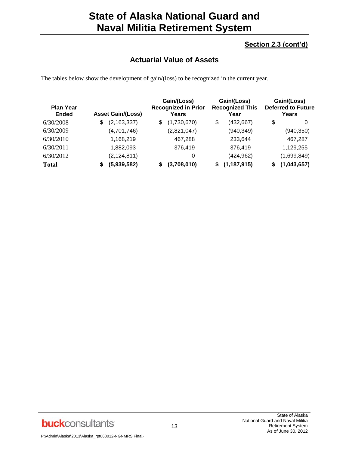### **Section 2.3 (cont'd)**

## **Actuarial Value of Assets**

The tables below show the development of gain/(loss) to be recognized in the current year.

| <b>Plan Year</b><br><b>Ended</b> | <b>Asset Gain/(Loss)</b> | Gain/(Loss)<br><b>Recognized in Prior</b><br>Years | Gain/(Loss)<br><b>Recognized This</b><br>Year | Gain/(Loss)<br><b>Deferred to Future</b><br>Years |
|----------------------------------|--------------------------|----------------------------------------------------|-----------------------------------------------|---------------------------------------------------|
| 6/30/2008                        | \$<br>(2, 163, 337)      | \$<br>(1,730,670)                                  | \$<br>(432, 667)                              | \$<br>0                                           |
| 6/30/2009                        | (4,701,746)              | (2,821,047)                                        | (940, 349)                                    | (940, 350)                                        |
| 6/30/2010                        | 1,168,219                | 467.288                                            | 233,644                                       | 467.287                                           |
| 6/30/2011                        | 1,882,093                | 376.419                                            | 376,419                                       | 1,129,255                                         |
| 6/30/2012                        | (2, 124, 811)            | 0                                                  | (424, 962)                                    | (1,699,849)                                       |
| <b>Total</b>                     | (5,939,582)<br>\$        | (3,708,010)<br>\$                                  | (1, 187, 915)                                 | (1,043,657)                                       |

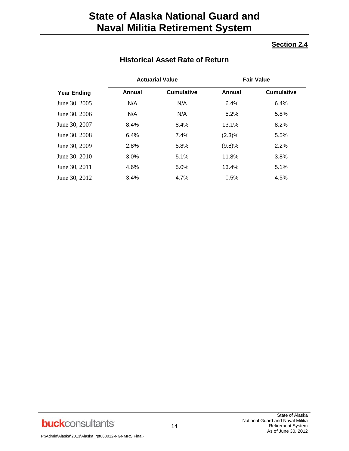### **Section 2.4**

# **Historical Asset Rate of Return**

|                    |               | <b>Actuarial Value</b> |        | <b>Fair Value</b> |
|--------------------|---------------|------------------------|--------|-------------------|
| <b>Year Ending</b> | <b>Annual</b> | <b>Cumulative</b>      | Annual | <b>Cumulative</b> |
| June 30, 2005      | N/A           | N/A                    | 6.4%   | 6.4%              |
| June 30, 2006      | N/A           | N/A                    | 5.2%   | 5.8%              |
| June 30, 2007      | 8.4%          | 8.4%                   | 13.1%  | 8.2%              |
| June 30, 2008      | 6.4%          | 7.4%                   | (2.3)% | 5.5%              |
| June 30, 2009      | 2.8%          | 5.8%                   | (9.8)% | 2.2%              |
| June 30, 2010      | 3.0%          | 5.1%                   | 11.8%  | 3.8%              |
| June 30, 2011      | 4.6%          | 5.0%                   | 13.4%  | 5.1%              |
| June 30, 2012      | 3.4%          | 4.7%                   | 0.5%   | 4.5%              |

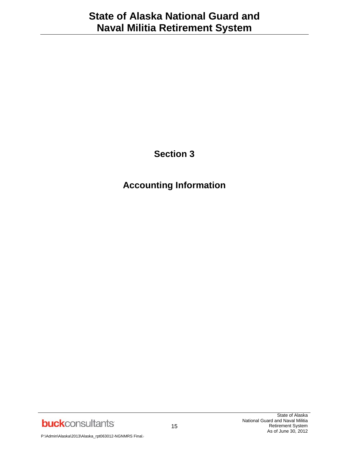**Section 3**

**Accounting Information**

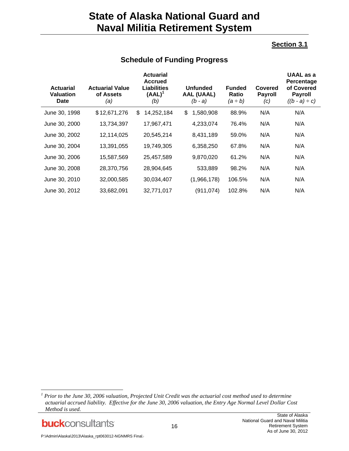### **Section 3.1**

| <b>Actuarial</b><br><b>Valuation</b><br>Date | <b>Actuarial Value</b><br>of Assets<br>(a) | <b>Actuarial</b><br><b>Accrued</b><br>Liabilities<br>$(AAL)^1$<br>(b) | <b>Unfunded</b><br><b>AAL (UAAL)</b><br>$(b - a)$ | <b>Funded</b><br><b>Ratio</b><br>$(a \div b)$ | Covered<br><b>Payroll</b><br>(c) | UAAL as a<br>Percentage<br>of Covered<br><b>Payroll</b><br>$((b - a) \div c)$ |
|----------------------------------------------|--------------------------------------------|-----------------------------------------------------------------------|---------------------------------------------------|-----------------------------------------------|----------------------------------|-------------------------------------------------------------------------------|
| June 30, 1998                                | \$12,671,276                               | 14,252,184<br>\$                                                      | 1,580,908<br>\$                                   | 88.9%                                         | N/A                              | N/A                                                                           |
| June 30, 2000                                | 13,734,397                                 | 17,967,471                                                            | 4,233,074                                         | 76.4%                                         | N/A                              | N/A                                                                           |
| June 30, 2002                                | 12,114,025                                 | 20,545,214                                                            | 8,431,189                                         | 59.0%                                         | N/A                              | N/A                                                                           |
| June 30, 2004                                | 13,391,055                                 | 19,749,305                                                            | 6,358,250                                         | 67.8%                                         | N/A                              | N/A                                                                           |
| June 30, 2006                                | 15,587,569                                 | 25,457,589                                                            | 9,870,020                                         | 61.2%                                         | N/A                              | N/A                                                                           |
| June 30, 2008                                | 28,370,756                                 | 28,904,645                                                            | 533,889                                           | 98.2%                                         | N/A                              | N/A                                                                           |
| June 30, 2010                                | 32,000,585                                 | 30,034,407                                                            | (1,966,178)                                       | 106.5%                                        | N/A                              | N/A                                                                           |
| June 30, 2012                                | 33,682,091                                 | 32,771,017                                                            | (911, 074)                                        | 102.8%                                        | N/A                              | N/A                                                                           |

# **Schedule of Funding Progress**

*<sup>1</sup> Prior to the June 30, 2006 valuation, Projected Unit Credit was the actuarial cost method used to determine actuarial accrued liability. Effective for the June 30, 2006 valuation, the Entry Age Normal Level Dollar Cost Method is used.*



l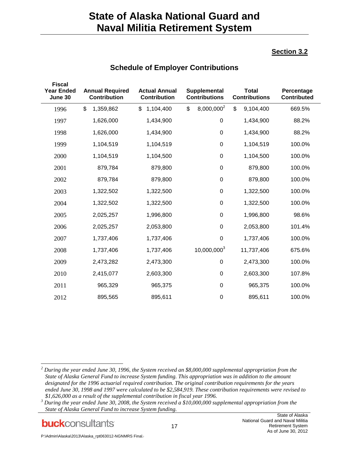### **Section 3.2**

| <b>Fiscal</b>                |                                               |                                             |                                      |                                      |                                  |
|------------------------------|-----------------------------------------------|---------------------------------------------|--------------------------------------|--------------------------------------|----------------------------------|
| <b>Year Ended</b><br>June 30 | <b>Annual Required</b><br><b>Contribution</b> | <b>Actual Annual</b><br><b>Contribution</b> | Supplemental<br><b>Contributions</b> | <b>Total</b><br><b>Contributions</b> | Percentage<br><b>Contributed</b> |
| 1996                         | \$<br>1,359,862                               | \$<br>1,104,400                             | \$<br>8,000,000 <sup>2</sup>         | \$<br>9,104,400                      | 669.5%                           |
| 1997                         | 1,626,000                                     | 1,434,900                                   | $\pmb{0}$                            | 1,434,900                            | 88.2%                            |
| 1998                         | 1,626,000                                     | 1,434,900                                   | $\boldsymbol{0}$                     | 1,434,900                            | 88.2%                            |
| 1999                         | 1,104,519                                     | 1,104,519                                   | $\boldsymbol{0}$                     | 1,104,519                            | 100.0%                           |
| 2000                         | 1,104,519                                     | 1,104,500                                   | $\boldsymbol{0}$                     | 1,104,500                            | 100.0%                           |
| 2001                         | 879,784                                       | 879,800                                     | 0                                    | 879,800                              | 100.0%                           |
| 2002                         | 879,784                                       | 879,800                                     | 0                                    | 879,800                              | 100.0%                           |
| 2003                         | 1,322,502                                     | 1,322,500                                   | 0                                    | 1,322,500                            | 100.0%                           |
| 2004                         | 1,322,502                                     | 1,322,500                                   | $\boldsymbol{0}$                     | 1,322,500                            | 100.0%                           |
| 2005                         | 2,025,257                                     | 1,996,800                                   | $\pmb{0}$                            | 1,996,800                            | 98.6%                            |
| 2006                         | 2,025,257                                     | 2,053,800                                   | $\boldsymbol{0}$                     | 2,053,800                            | 101.4%                           |
| 2007                         | 1,737,406                                     | 1,737,406                                   | $\boldsymbol{0}$                     | 1,737,406                            | 100.0%                           |
| 2008                         | 1,737,406                                     | 1,737,406                                   | 10,000,0003                          | 11,737,406                           | 675.6%                           |
| 2009                         | 2,473,282                                     | 2,473,300                                   | $\boldsymbol{0}$                     | 2,473,300                            | 100.0%                           |
| 2010                         | 2,415,077                                     | 2,603,300                                   | 0                                    | 2,603,300                            | 107.8%                           |
| 2011                         | 965,329                                       | 965,375                                     | $\boldsymbol{0}$                     | 965,375                              | 100.0%                           |
| 2012                         | 895,565                                       | 895,611                                     | 0                                    | 895,611                              | 100.0%                           |

# **Schedule of Employer Contributions**

*<sup>2</sup> During the year ended June 30, 1996, the System received an \$8,000,000 supplemental appropriation from the State of Alaska General Fund to increase System funding. This appropriation was in addition to the amount designated for the 1996 actuarial required contribution. The original contribution requirements for the years ended June 30, 1998 and 1997 were calculated to be \$2,584,919. These contribution requirements were revised to \$1,626,000 as a result of the supplemental contribution in fiscal year 1996.*

**buck**consultants

l

*<sup>3</sup> During the year ended June 30, 2008, the System received a \$10,000,000 supplemental appropriation from the State of Alaska General Fund to increase System funding.*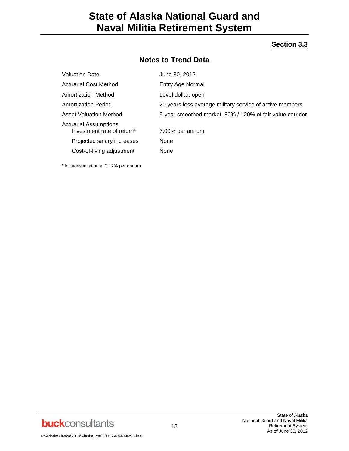#### **Section 3.3**

# **Notes to Trend Data**

| <b>Valuation Date</b>                               | June 30, 2012                                             |
|-----------------------------------------------------|-----------------------------------------------------------|
| <b>Actuarial Cost Method</b>                        | Entry Age Normal                                          |
| Amortization Method                                 | Level dollar, open                                        |
| <b>Amortization Period</b>                          | 20 years less average military service of active members  |
| Asset Valuation Method                              | 5-year smoothed market, 80% / 120% of fair value corridor |
| Actuarial Assumptions<br>Investment rate of return* | 7.00% per annum                                           |
| Projected salary increases                          | None                                                      |
| Cost-of-living adjustment                           | None                                                      |

\* Includes inflation at 3.12% per annum.

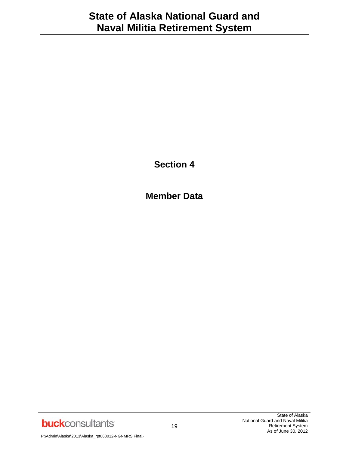**Section 4**

**Member Data**

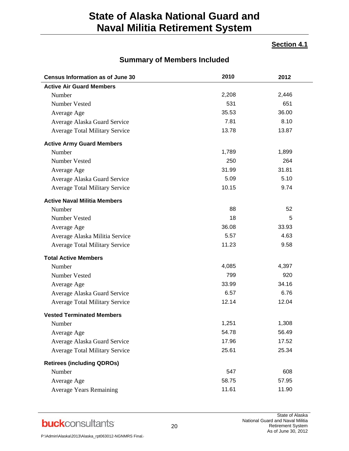### **Section 4.1**

| <b>Census Information as of June 30</b> | 2010  | 2012  |
|-----------------------------------------|-------|-------|
| <b>Active Air Guard Members</b>         |       |       |
| Number                                  | 2,208 | 2,446 |
| Number Vested                           | 531   | 651   |
| Average Age                             | 35.53 | 36.00 |
| Average Alaska Guard Service            | 7.81  | 8.10  |
| <b>Average Total Military Service</b>   | 13.78 | 13.87 |
| <b>Active Army Guard Members</b>        |       |       |
| Number                                  | 1,789 | 1,899 |
| Number Vested                           | 250   | 264   |
| Average Age                             | 31.99 | 31.81 |
| Average Alaska Guard Service            | 5.09  | 5.10  |
| <b>Average Total Military Service</b>   | 10.15 | 9.74  |
| <b>Active Naval Militia Members</b>     |       |       |
| Number                                  | 88    | 52    |
| Number Vested                           | 18    | 5     |
| Average Age                             | 36.08 | 33.93 |
| Average Alaska Militia Service          | 5.57  | 4.63  |
| <b>Average Total Military Service</b>   | 11.23 | 9.58  |
| <b>Total Active Members</b>             |       |       |
| Number                                  | 4,085 | 4,397 |
| Number Vested                           | 799   | 920   |
| Average Age                             | 33.99 | 34.16 |
| Average Alaska Guard Service            | 6.57  | 6.76  |
| <b>Average Total Military Service</b>   | 12.14 | 12.04 |
| <b>Vested Terminated Members</b>        |       |       |
| Number                                  | 1,251 | 1,308 |
| Average Age                             | 54.78 | 56.49 |
| Average Alaska Guard Service            | 17.96 | 17.52 |
| <b>Average Total Military Service</b>   | 25.61 | 25.34 |
| <b>Retirees (including QDROs)</b>       |       |       |
| Number                                  | 547   | 608   |
| Average Age                             | 58.75 | 57.95 |
| <b>Average Years Remaining</b>          | 11.61 | 11.90 |

### **Summary of Members Included**

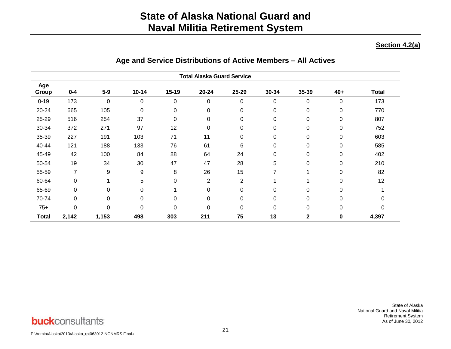#### **Section 4.2(a)**

|              |         |       |             |           | <b>Total Alaska Guard Service</b> |             |          |              |             |              |
|--------------|---------|-------|-------------|-----------|-----------------------------------|-------------|----------|--------------|-------------|--------------|
| Age<br>Group | $0 - 4$ | $5-9$ | $10 - 14$   | $15 - 19$ | $20 - 24$                         | 25-29       | 30-34    | 35-39        | $40+$       | <b>Total</b> |
| $0 - 19$     | 173     | 0     | 0           | 0         | 0                                 | 0           | 0        | 0            | 0           | 173          |
| 20-24        | 665     | 105   | $\mathbf 0$ | 0         | $\pmb{0}$                         | $\mathbf 0$ | 0        | 0            | $\mathbf 0$ | 770          |
| 25-29        | 516     | 254   | 37          | 0         | 0                                 | 0           | 0        | 0            | $\mathbf 0$ | 807          |
| 30-34        | 372     | 271   | 97          | 12        | 0                                 | 0           | 0        | 0            | 0           | 752          |
| 35-39        | 227     | 191   | 103         | 71        | 11                                | 0           | 0        | $\mathbf 0$  | 0           | 603          |
| 40-44        | 121     | 188   | 133         | 76        | 61                                | 6           | 0        | 0            | 0           | 585          |
| 45-49        | 42      | 100   | 84          | 88        | 64                                | 24          | 0        | 0            | $\mathbf 0$ | 402          |
| 50-54        | 19      | 34    | 30          | 47        | 47                                | 28          | 5        | 0            | 0           | 210          |
| 55-59        | 7       | 9     | 9           | 8         | 26                                | 15          | 7        |              | $\mathbf 0$ | 82           |
| 60-64        | 0       |       | 5           | $\Omega$  | $\overline{2}$                    | 2           |          |              | 0           | 12           |
| 65-69        | 0       | 0     | 0           |           | 0                                 | 0           | $\Omega$ | 0            | $\Omega$    |              |
| 70-74        | 0       | 0     | $\mathbf 0$ | 0         | 0                                 | $\mathbf 0$ | 0        | 0            | 0           |              |
| $75+$        | 0       | 0     | $\mathbf 0$ | 0         | 0                                 | 0           | 0        | 0            | 0           | 0            |
| <b>Total</b> | 2,142   | 1,153 | 498         | 303       | 211                               | 75          | 13       | $\mathbf{2}$ | $\bf{0}$    | 4,397        |

### **Age and Service Distributions of Active Members – All Actives**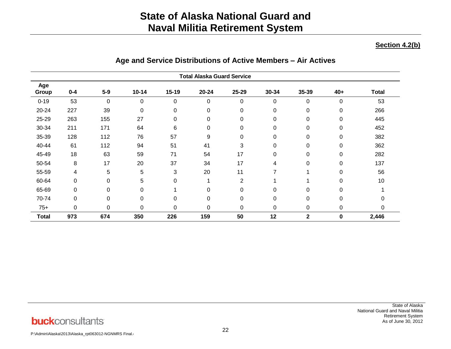#### **Section 4.2(b)**

|              |         |          |             |           | <b>Total Alaska Guard Service</b> |          |             |             |             |              |
|--------------|---------|----------|-------------|-----------|-----------------------------------|----------|-------------|-------------|-------------|--------------|
| Age<br>Group | $0 - 4$ | $5-9$    | $10 - 14$   | $15 - 19$ | $20 - 24$                         | 25-29    | 30-34       | 35-39       | $40+$       | <b>Total</b> |
| $0 - 19$     | 53      | $\Omega$ | 0           | 0         | 0                                 | 0        | $\mathbf 0$ | 0           | 0           | 53           |
| 20-24        | 227     | 39       | $\mathbf 0$ | 0         | 0                                 | 0        | $\pmb{0}$   | 0           | $\mathbf 0$ | 266          |
| 25-29        | 263     | 155      | 27          | 0         | 0                                 | 0        | $\mathbf 0$ | 0           | $\mathbf 0$ | 445          |
| 30-34        | 211     | 171      | 64          | 6         | 0                                 | 0        | 0           | 0           | $\mathbf 0$ | 452          |
| 35-39        | 128     | 112      | 76          | 57        | 9                                 | 0        | 0           | 0           | 0           | 382          |
| 40-44        | 61      | 112      | 94          | 51        | 41                                | 3        | 0           | 0           | $\mathbf 0$ | 362          |
| 45-49        | 18      | 63       | 59          | 71        | 54                                | 17       | 0           | 0           | 0           | 282          |
| 50-54        | 8       | 17       | 20          | 37        | 34                                | 17       | 4           | 0           | 0           | 137          |
| 55-59        | 4       | 5        | 5           | 3         | 20                                | 11       | 7           |             | $\mathbf 0$ | 56           |
| 60-64        | 0       | $\Omega$ | 5           | $\Omega$  |                                   | 2        | -4          |             | $\Omega$    | 10           |
| 65-69        | 0       | $\Omega$ | 0           |           | 0                                 | $\Omega$ | 0           | 0           | $\mathbf 0$ |              |
| 70-74        | 0       | 0        | $\pmb{0}$   | 0         | 0                                 | 0        | 0           | 0           | 0           |              |
| $75+$        | 0       | 0        | $\mathbf 0$ | 0         | 0                                 | 0        | 0           | 0           | 0           | 0            |
| <b>Total</b> | 973     | 674      | 350         | 226       | 159                               | 50       | 12          | $\mathbf 2$ | $\bf{0}$    | 2,446        |

# **Age and Service Distributions of Active Members – Air Actives**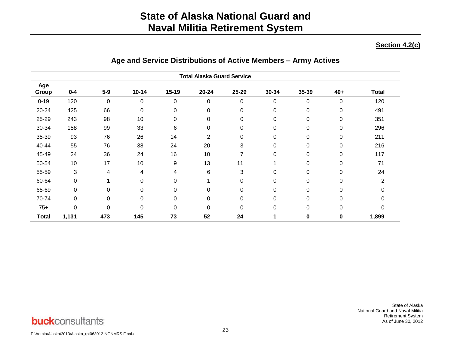#### **Section 4.2(c)**

|              | <b>Total Alaska Guard Service</b> |       |                         |           |           |             |       |             |             |              |
|--------------|-----------------------------------|-------|-------------------------|-----------|-----------|-------------|-------|-------------|-------------|--------------|
| Age<br>Group | $0 - 4$                           | $5-9$ | $10 - 14$               | $15 - 19$ | $20 - 24$ | 25-29       | 30-34 | 35-39       | $40+$       | <b>Total</b> |
| $0 - 19$     | 120                               | 0     | $\mathbf 0$             | 0         | 0         | 0           | 0     | 0           | 0           | 120          |
| 20-24        | 425                               | 66    | $\pmb{0}$               | 0         | 0         | $\mathbf 0$ | 0     | 0           | 0           | 491          |
| 25-29        | 243                               | 98    | 10                      | 0         | 0         | 0           | 0     | 0           | 0           | 351          |
| 30-34        | 158                               | 99    | 33                      | 6         | 0         | 0           | 0     | 0           | 0           | 296          |
| 35-39        | 93                                | 76    | 26                      | 14        | 2         | 0           | 0     | 0           | 0           | 211          |
| 40-44        | 55                                | 76    | 38                      | 24        | 20        | 3           | 0     | 0           | 0           | 216          |
| 45-49        | 24                                | 36    | 24                      | 16        | 10        | 7           | 0     | 0           | 0           | 117          |
| 50-54        | 10                                | 17    | 10                      | 9         | 13        | 11          |       | 0           | 0           | 71           |
| 55-59        | 3                                 | 4     | $\overline{\mathbf{4}}$ | 4         | 6         | 3           | 0     | 0           | 0           | 24           |
| 60-64        | 0                                 |       | $\boldsymbol{0}$        | 0         |           | 0           | 0     | 0           | 0           | 2            |
| 65-69        | 0                                 | 0     | $\mathbf 0$             | 0         | 0         | $\mathbf 0$ | 0     | 0           | 0           |              |
| 70-74        | 0                                 | 0     | $\pmb{0}$               | 0         | 0         | $\mathbf 0$ | 0     | 0           | 0           |              |
| $75+$        | 0                                 | 0     | $\boldsymbol{0}$        | 0         | 0         | $\mathbf 0$ | 0     | 0           | $\mathbf 0$ |              |
| <b>Total</b> | 1,131                             | 473   | 145                     | 73        | 52        | 24          | 1     | $\mathbf 0$ | 0           | 1,899        |

# **Age and Service Distributions of Active Members – Army Actives**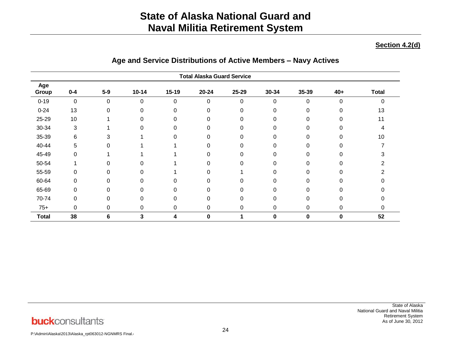#### **Section 4.2(d)**

|              |         |          |           |           | <b>Total Alaska Guard Service</b> |          |          |       |             |              |
|--------------|---------|----------|-----------|-----------|-----------------------------------|----------|----------|-------|-------------|--------------|
| Age<br>Group | $0 - 4$ | $5-9$    | $10 - 14$ | $15-19$   | $20 - 24$                         | 25-29    | 30-34    | 35-39 | $40+$       | <b>Total</b> |
| $0 - 19$     | 0       | $\Omega$ | $\Omega$  | $\Omega$  | 0                                 | 0        | $\Omega$ | 0     | $\mathbf 0$ | ი            |
| $0 - 24$     | 13      | 0        | 0         | 0         | 0                                 | 0        | 0        | 0     | 0           | 13           |
| 25-29        | 10      |          | $\Omega$  | 0         | 0                                 | $\Omega$ | 0        | 0     | 0           | 11           |
| 30-34        | 3       |          | O         | $\Omega$  | 0                                 | $\Omega$ | $\Omega$ | 0     |             | 4            |
| 35-39        | 6       | 3        |           | $\Omega$  | 0                                 | $\Omega$ | 0        | 0     |             | 10           |
| 40-44        | 5       |          |           |           | 0                                 | $\Omega$ | $\Omega$ | 0     |             |              |
| 45-49        | 0       |          |           |           | 0                                 | $\Omega$ | O        | O     |             |              |
| 50-54        |         |          | 0         |           | 0                                 | 0        | 0        | 0     |             |              |
| 55-59        | 0       | 0        | 0         |           | 0                                 |          | 0        | 0     | 0           |              |
| 60-64        | 0       | ∩        | $\Omega$  | $\Omega$  | 0                                 | $\Omega$ | $\Omega$ | 0     |             |              |
| 65-69        | 0       | ∩        | O         | $\Omega$  | 0                                 | $\Omega$ | 0        | O     |             |              |
| 70-74        | 0       | ∩        | 0         | $\Omega$  | 0                                 | $\Omega$ | $\Omega$ | 0     |             |              |
| $75+$        | 0       | 0        | 0         | $\pmb{0}$ | 0                                 | 0        | 0        | 0     | 0           | 0            |
| <b>Total</b> | 38      | 6        | 3         | 4         | 0                                 | 4        | $\bf{0}$ | 0     | 0           | 52           |

# **Age and Service Distributions of Active Members – Navy Actives**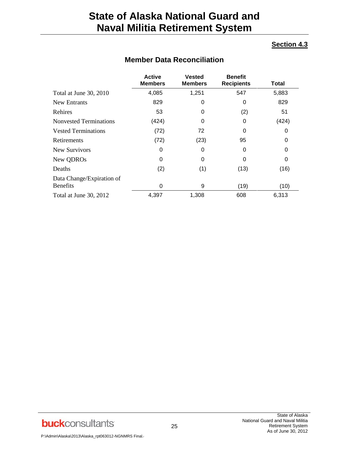### **Section 4.3**

|                                              | <b>Active</b><br><b>Members</b> | <b>Vested</b><br><b>Members</b> | <b>Benefit</b><br><b>Recipients</b> | Total |
|----------------------------------------------|---------------------------------|---------------------------------|-------------------------------------|-------|
| Total at June 30, 2010                       | 4,085                           | 1,251                           | 547                                 | 5,883 |
| New Entrants                                 | 829                             | 0                               | 0                                   | 829   |
| Rehires                                      | 53                              | O                               | (2)                                 | 51    |
| <b>Nonvested Terminations</b>                | (424)                           |                                 | 0                                   | (424) |
| <b>Vested Terminations</b>                   | (72)                            | 72                              | 0                                   | 0     |
| Retirements                                  | (72)                            | (23)                            | 95                                  | 0     |
| New Survivors                                | 0                               | 0                               | 0                                   | 0     |
| New QDROs                                    | 0                               | 0                               | 0                                   | 0     |
| Deaths                                       | (2)                             | (1)                             | (13)                                | (16)  |
| Data Change/Expiration of<br><b>Benefits</b> | $\Omega$                        | 9                               | (19)                                | (10)  |
| Total at June 30, 2012                       | 4,397                           | 1,308                           | 608                                 | 6,313 |

# **Member Data Reconciliation**

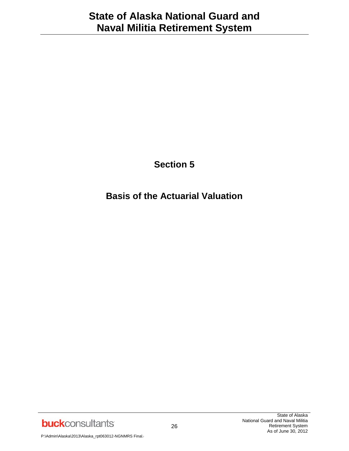# **Section 5**

# **Basis of the Actuarial Valuation**

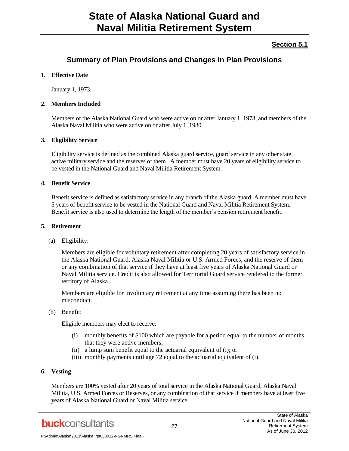### **Section 5.1**

### **Summary of Plan Provisions and Changes in Plan Provisions**

#### **1. Effective Date**

January 1, 1973.

#### **2. Members Included**

Members of the Alaska National Guard who were active on or after January 1, 1973, and members of the Alaska Naval Militia who were active on or after July 1, 1980.

#### **3. Eligibility Service**

Eligibility service is defined as the combined Alaska guard service, guard service in any other state, active military service and the reserves of them. A member must have 20 years of eligibility service to be vested in the National Guard and Naval Militia Retirement System.

#### **4. Benefit Service**

Benefit service is defined as satisfactory service in any branch of the Alaska guard. A member must have 5 years of benefit service to be vested in the National Guard and Naval Militia Retirement System. Benefit service is also used to determine the length of the member's pension retirement benefit.

#### **5. Retirement**

(a) Eligibility:

Members are eligible for voluntary retirement after completing 20 years of satisfactory service in the Alaska National Guard, Alaska Naval Militia or U.S. Armed Forces, and the reserve of them or any combination of that service if they have at least five years of Alaska National Guard or Naval Militia service. Credit is also allowed for Territorial Guard service rendered to the former territory of Alaska.

Members are eligible for involuntary retirement at any time assuming there has been no misconduct.

(b) Benefit:

Eligible members may elect to receive:

- (i) monthly benefits of \$100 which are payable for a period equal to the number of months that they were active members;
- (ii) a lump sum benefit equal to the actuarial equivalent of (i); or
- (iii) monthly payments until age 72 equal to the actuarial equivalent of (i).

#### **6. Vesting**

Members are 100% vested after 20 years of total service in the Alaska National Guard, Alaska Naval Militia, U.S. Armed Forces or Reserves, or any combination of that service if members have at least five years of Alaska National Guard or Naval Militia service.

**buck**consultants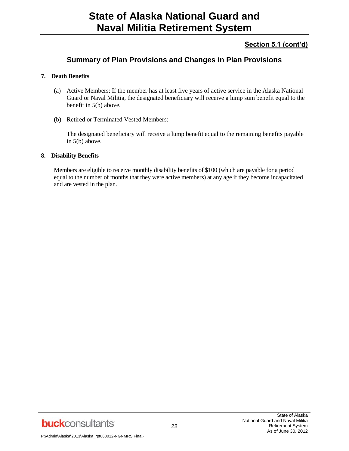### **Section 5.1 (cont'd)**

## **Summary of Plan Provisions and Changes in Plan Provisions**

#### **7. Death Benefits**

- (a) Active Members: If the member has at least five years of active service in the Alaska National Guard or Naval Militia, the designated beneficiary will receive a lump sum benefit equal to the benefit in 5(b) above.
- (b) Retired or Terminated Vested Members:

The designated beneficiary will receive a lump benefit equal to the remaining benefits payable in 5(b) above.

#### **8. Disability Benefits**

Members are eligible to receive monthly disability benefits of \$100 (which are payable for a period equal to the number of months that they were active members) at any age if they become incapacitated and are vested in the plan.

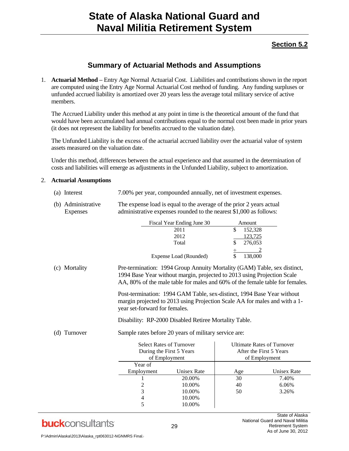### **Section 5.2**

### **Summary of Actuarial Methods and Assumptions**

1. **Actuarial Method –** Entry Age Normal Actuarial Cost. Liabilities and contributions shown in the report are computed using the Entry Age Normal Actuarial Cost method of funding. Any funding surpluses or unfunded accrued liability is amortized over 20 years less the average total military service of active members.

The Accrued Liability under this method at any point in time is the theoretical amount of the fund that would have been accumulated had annual contributions equal to the normal cost been made in prior years (it does not represent the liability for benefits accrued to the valuation date).

The Unfunded Liability is the excess of the actuarial accrued liability over the actuarial value of system assets measured on the valuation date.

Under this method, differences between the actual experience and that assumed in the determination of costs and liabilities will emerge as adjustments in the Unfunded Liability, subject to amortization.

#### 2. **Actuarial Assumptions**

| (a) Interest                   | 7.00% per year, compounded annually, net of investment expenses.                                                                           |
|--------------------------------|--------------------------------------------------------------------------------------------------------------------------------------------|
| (b) Administrative<br>Expenses | The expense load is equal to the average of the prior 2 years actual<br>administrative expenses rounded to the nearest \$1,000 as follows: |

|                  |                                                                                                                                                                                                                                     | Fiscal Year Ending June 30 | Amount |                         |                                   |
|------------------|-------------------------------------------------------------------------------------------------------------------------------------------------------------------------------------------------------------------------------------|----------------------------|--------|-------------------------|-----------------------------------|
|                  |                                                                                                                                                                                                                                     | 2011                       | \$     | 152,328                 |                                   |
|                  |                                                                                                                                                                                                                                     | 2012                       |        | 123,725                 |                                   |
|                  |                                                                                                                                                                                                                                     | Total                      | \$     | 276,053                 |                                   |
|                  |                                                                                                                                                                                                                                     |                            | ÷      |                         |                                   |
|                  |                                                                                                                                                                                                                                     | Expense Load (Rounded)     | \$     | 138,000                 |                                   |
| Mortality<br>(c) | Pre-termination: 1994 Group Annuity Mortality (GAM) Table, sex distinct,<br>1994 Base Year without margin, projected to 2013 using Projection Scale<br>AA, 80% of the male table for males and 60% of the female table for females. |                            |        |                         |                                   |
|                  | Post-termination: 1994 GAM Table, sex-distinct, 1994 Base Year without<br>margin projected to 2013 using Projection Scale AA for males and with a 1-<br>year set-forward for females.                                               |                            |        |                         |                                   |
|                  | Disability: RP-2000 Disabled Retiree Mortality Table.                                                                                                                                                                               |                            |        |                         |                                   |
| (d) Turnover     | Sample rates before 20 years of military service are:                                                                                                                                                                               |                            |        |                         |                                   |
|                  | <b>Select Rates of Turnover</b>                                                                                                                                                                                                     |                            |        |                         | <b>Ultimate Rates of Turnover</b> |
|                  | During the First 5 Years                                                                                                                                                                                                            |                            |        | After the First 5 Years |                                   |
|                  | of Employment                                                                                                                                                                                                                       |                            |        | of Employment           |                                   |
|                  | Year of                                                                                                                                                                                                                             |                            |        |                         |                                   |
|                  | Employment                                                                                                                                                                                                                          | <b>Unisex Rate</b>         | Age    |                         | <b>Unisex Rate</b>                |
|                  |                                                                                                                                                                                                                                     | 20.00%                     | 30     |                         | 7.40%                             |
|                  | $\overline{c}$                                                                                                                                                                                                                      | 10.00%                     | 40     |                         | 6.06%                             |
|                  | 3                                                                                                                                                                                                                                   | 10.00%                     | 50     |                         | 3.26%                             |
|                  | $\overline{\mathcal{L}}$                                                                                                                                                                                                            | 10.00%                     |        |                         |                                   |
|                  | 5                                                                                                                                                                                                                                   | 10.00%                     |        |                         |                                   |

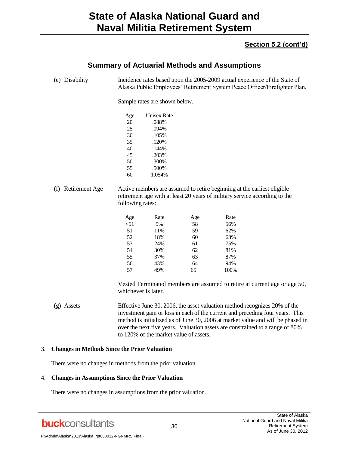### **Section 5.2 (cont'd)**

# **Summary of Actuarial Methods and Assumptions**

(e) Disability Incidence rates based upon the 2005-2009 actual experience of the State of Alaska Public Employees' Retirement System Peace Officer/Firefighter Plan.

Sample rates are shown below.

| Age | <b>Unisex Rate</b> |
|-----|--------------------|
| 20  | .088%              |
| 25  | .094%              |
| 30  | .105%              |
| 35  | .120%              |
| 40  | .144%              |
| 45  | .203%              |
| 50  | .300%              |
| 55  | .500%              |
| 60  | 1.054%             |
|     |                    |

(f) Retirement Age Active members are assumed to retire beginning at the earliest eligible retirement age with at least 20 years of military service according to the following rates:

| Age  | Rate | Age   | Rate |
|------|------|-------|------|
| < 51 | 5%   | 58    | 56%  |
| 51   | 11%  | 59    | 62%  |
| 52   | 18%  | 60    | 68%  |
| 53   | 24%  | 61    | 75%  |
| 54   | 30%  | 62    | 81%  |
| 55   | 37%  | 63    | 87%  |
| 56   | 43%  | 64    | 94%  |
| 57   | 49%  | $65+$ | 100% |

Vested Terminated members are assumed to retire at current age or age 50, whichever is later.

(g) Assets Effective June 30, 2006, the asset valuation method recognizes 20% of the investment gain or loss in each of the current and preceding four years. This method is initialized as of June 30, 2006 at market value and will be phased in over the next five years. Valuation assets are constrained to a range of 80% to 120% of the market value of assets.

#### 3. **Changes in Methods Since the Prior Valuation**

There were no changes in methods from the prior valuation.

#### 4. **Changes in Assumptions Since the Prior Valuation**

There were no changes in assumptions from the prior valuation.

**buck**consultants